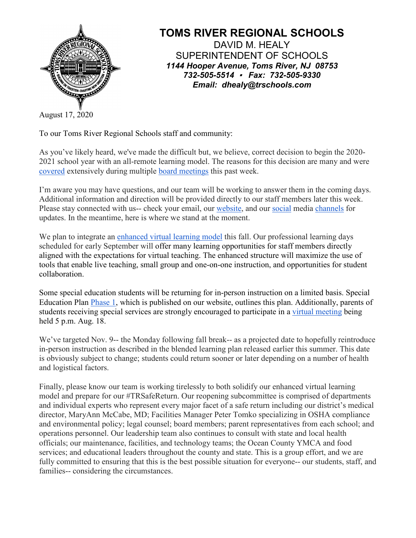

## **TOMS RIVER REGIONAL SCHOOLS** DAVID M. HEALY SUPERINTENDENT OF SCHOOLS *1144 Hooper Avenue, Toms River, NJ 08753 732-505-5514 Fax: 732-505-9330 Email: dhealy@trschools.com*

August 17, 2020

To our Toms River Regional Schools staff and community:

As you've likely heard, we've made the difficult but, we believe, correct decision to begin the 2020- 2021 school year with an all-remote learning model. The reasons for this decision are many and were [covered](https://patch.com/new-jersey/tomsriver/toms-river-schools-starting-2020-2021-remote-learning) extensively during multiple [board meetings](https://www.trschools.com/Administration/boe) this past week.

I'm aware you may have questions, and our team will be working to answer them in the coming days. Additional information and direction will be provided directly to our staff members later this week. Please stay connected with us-- check your email, our [website,](https://www.trschools.com/) and our [social](https://twitter.com/wearetrschools) media [channels](https://www.facebook.com/Toms-River-Regional-School-District-130499970433878/) for updates. In the meantime, here is where we stand at the moment.

We plan to integrate an [enhanced virtual learning model](https://www.trschools.com/community/docs/2020/08/Final-Copy-Enhanced-Virtual-Learning-.pdf) this fall. Our professional learning days scheduled for early September will offer many learning opportunities for staff members directly aligned with the expectations for virtual teaching. The enhanced structure will maximize the use of tools that enable live teaching, small group and one-on-one instruction, and opportunities for student collaboration.

Some special education students will be returning for in-person instruction on a limited basis. Special Education Plan [Phase 1,](https://www.trschools.com/docs/2020/08/Updated-Plan-Special-Education.pdf) which is published on our website, outlines this plan. Additionally, parents of students receiving special services are strongly encouraged to participate in a [virtual meeting](https://www.youtube.com/watch?v=4IlhfFIozyY&feature=youtu.be) being held 5 p.m. Aug. 18.

We've targeted Nov. 9-- the Monday following fall break-- as a projected date to hopefully reintroduce in-person instruction as described in the blended learning plan released earlier this summer. This date is obviously subject to change; students could return sooner or later depending on a number of health and logistical factors.

Finally, please know our team is working tirelessly to both solidify our enhanced virtual learning model and prepare for our #TRSafeReturn. Our reopening subcommittee is comprised of departments and individual experts who represent every major facet of a safe return including our district's medical director, MaryAnn McCabe, MD; Facilities Manager Peter Tomko specializing in OSHA compliance and environmental policy; legal counsel; board members; parent representatives from each school; and operations personnel. Our leadership team also continues to consult with state and local health officials; our maintenance, facilities, and technology teams; the Ocean County YMCA and food services; and educational leaders throughout the county and state. This is a group effort, and we are fully committed to ensuring that this is the best possible situation for everyone-- our students, staff, and families-- considering the circumstances.